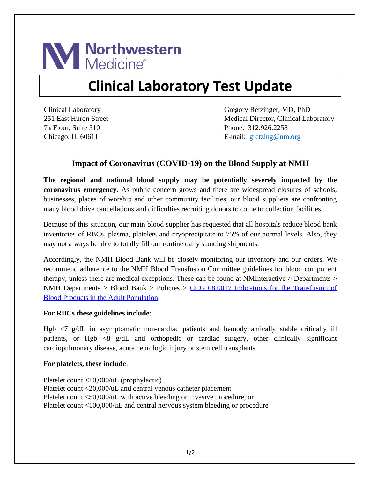

## **Clinical Laboratory Test Update**

Clinical Laboratory 251 East Huron Street 7th Floor, Suite 510 Chicago, IL 60611

Gregory Retzinger, MD, PhD Medical Director, Clinical Laboratory Phone: 312.926.2258 E-mail: [gretzing@nm.org](mailto:gretzing@nm.org)

## **Impact of Coronavirus (COVID-19) on the Blood Supply at NMH**

**The regional and national blood supply may be potentially severely impacted by the coronavirus emergency.** As public concern grows and there are widespread closures of schools, businesses, places of worship and other community facilities, our blood suppliers are confronting many blood drive cancellations and difficulties recruiting donors to come to collection facilities.

Because of this situation, our main blood supplier has requested that all hospitals reduce blood bank inventories of RBCs, plasma, platelets and cryoprecipitate to 75% of our normal levels. Also, they may not always be able to totally fill our routine daily standing shipments.

Accordingly, the NMH Blood Bank will be closely monitoring our inventory and our orders. We recommend adherence to the NMH Blood Transfusion Committee guidelines for blood component therapy, unless there are medical exceptions. These can be found at NMInteractive > Departments > NMH Departments > Blood Bank > Policies >  $CCG$  08.0017 Indications for the Transfusion of [Blood Products in the Adult Population.](https://nm.ellucid.com/documents/view/5075)

## **For RBCs these guidelines include**:

Hgb <7 g/dL in asymptomatic non-cardiac patients and hemodynamically stable critically ill patients, or Hgb <8 g/dL and orthopedic or cardiac surgery, other clinically significant cardiopulmonary disease, acute neurologic injury or stem cell transplants.

## **For platelets, these include**:

Platelet count <10,000/uL (prophylactic) Platelet count <20,000/uL and central venous catheter placement Platelet count <50,000/uL with active bleeding or invasive procedure, or Platelet count <100,000/uL and central nervous system bleeding or procedure